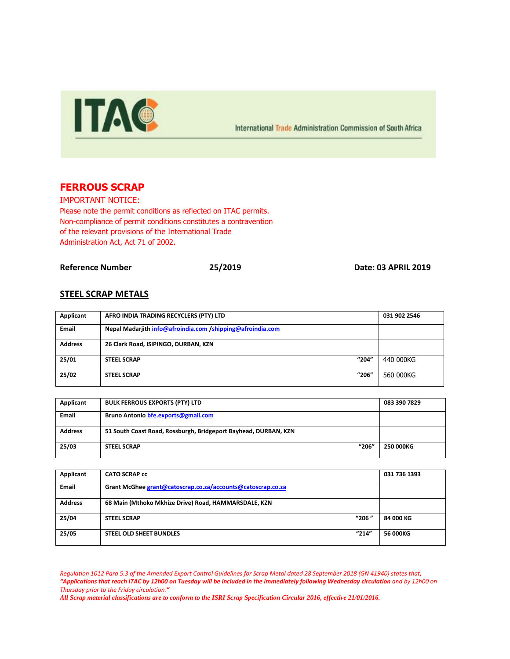

International Trade Administration Commission of South Africa

# **FERROUS SCRAP**

IMPORTANT NOTICE: Please note the permit conditions as reflected on ITAC permits. Non-compliance of permit conditions constitutes a contravention of the relevant provisions of the International Trade Administration Act, Act 71 of 2002.

**Reference Number 25/2019 Date: 03 APRIL 2019**

### **STEEL SCRAP METALS**

| Applicant      | AFRO INDIA TRADING RECYCLERS (PTY) LTD                     | 031 902 2546 |
|----------------|------------------------------------------------------------|--------------|
| <b>Email</b>   | Nepal Madarjith info@afroindia.com /shipping@afroindia.com |              |
| <b>Address</b> | 26 Clark Road, ISIPINGO, DURBAN, KZN                       |              |
| 25/01          | "204"<br><b>STEEL SCRAP</b>                                | 440 000KG    |
| 25/02          | "206"<br><b>STEEL SCRAP</b>                                | 560 000KG    |

| Applicant      | <b>BULK FERROUS EXPORTS (PTY) LTD</b>                           | 083 390 7829 |
|----------------|-----------------------------------------------------------------|--------------|
| <b>Email</b>   | Bruno Antonio bfe.exports@gmail.com                             |              |
| <b>Address</b> | 51 South Coast Road, Rossburgh, Bridgeport Bayhead, DURBAN, KZN |              |
| 25/03          | "206"<br><b>STEEL SCRAP</b>                                     | 250 000KG    |

| Applicant      | <b>CATO SCRAP cc</b>                                        | 031 736 1393 |
|----------------|-------------------------------------------------------------|--------------|
| <b>Email</b>   | Grant McGhee grant@catoscrap.co.za/accounts@catoscrap.co.za |              |
| <b>Address</b> | 68 Main (Mthoko Mkhize Drive) Road, HAMMARSDALE, KZN        |              |
| 25/04          | "206"<br><b>STEEL SCRAP</b>                                 | 84 000 KG    |
| 25/05          | "214"<br><b>STEEL OLD SHEET BUNDLES</b>                     | 56 000KG     |

*Regulation 1012 Para 5.3 of the Amended Export Control Guidelines for Scrap Metal dated 28 September 2018 (GN 41940) states that, "Applications that reach ITAC by 12h00 on Tuesday will be included in the immediately following Wednesday circulation and by 12h00 on Thursday prior to the Friday circulation."*

*All Scrap material classifications are to conform to the ISRI Scrap Specification Circular 2016, effective 21/01/2016.*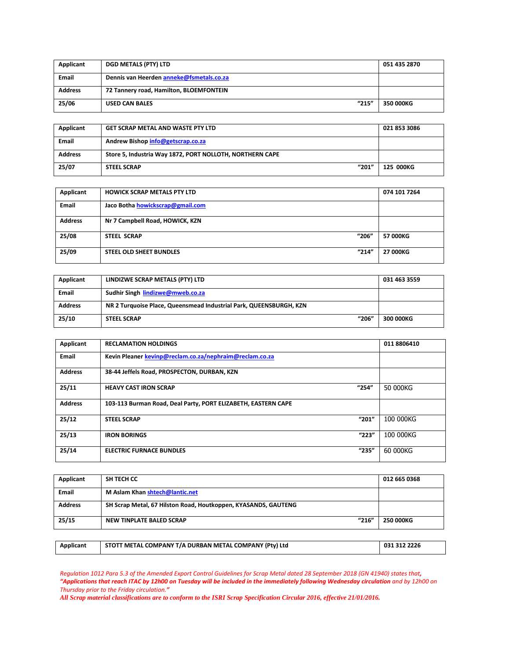| Applicant      | <b>DGD METALS (PTY) LTD</b>              | 051 435 2870 |
|----------------|------------------------------------------|--------------|
| <b>Email</b>   | Dennis van Heerden anneke@fsmetals.co.za |              |
| <b>Address</b> | 72 Tannery road, Hamilton, BLOEMFONTEIN  |              |
| 25/06          | "215"<br><b>USED CAN BALES</b>           | 350 000KG    |

| Applicant      | <b>GET SCRAP METAL AND WASTE PTY LTD</b>                 | 021 853 3086 |
|----------------|----------------------------------------------------------|--------------|
| <b>Email</b>   | Andrew Bishop info@getscrap.co.za                        |              |
| <b>Address</b> | Store 5, Industria Way 1872, PORT NOLLOTH, NORTHERN CAPE |              |
| 25/07          | "201"<br><b>STEEL SCRAP</b>                              | 125 000KG    |

| Applicant      | <b>HOWICK SCRAP METALS PTY LTD</b>      | 074 101 7264 |
|----------------|-----------------------------------------|--------------|
| Email          | Jaco Botha howickscrap@gmail.com        |              |
| <b>Address</b> | Nr 7 Campbell Road, HOWICK, KZN         |              |
| 25/08          | "206"<br><b>STEEL SCRAP</b>             | 57 000KG     |
| 25/09          | "214"<br><b>STEEL OLD SHEET BUNDLES</b> | 27 000KG     |

| Applicant      | LINDIZWE SCRAP METALS (PTY) LTD                                    | 031 463 3559 |
|----------------|--------------------------------------------------------------------|--------------|
| <b>Email</b>   | Sudhir Singh lindizwe@mweb.co.za                                   |              |
| <b>Address</b> | NR 2 Turquoise Place, Queensmead Industrial Park, QUEENSBURGH, KZN |              |
| 25/10          | "206"<br><b>STEEL SCRAP</b>                                        | 300 000KG    |

| Applicant      | <b>RECLAMATION HOLDINGS</b>                                   | 011 8806410 |
|----------------|---------------------------------------------------------------|-------------|
| Email          | Kevin Pleaner kevinp@reclam.co.za/nephraim@reclam.co.za       |             |
| <b>Address</b> | 38-44 Jeffels Road, PROSPECTON, DURBAN, KZN                   |             |
| 25/11          | "254"<br><b>HEAVY CAST IRON SCRAP</b>                         | 50 000KG    |
| <b>Address</b> | 103-113 Burman Road, Deal Party, PORT ELIZABETH, EASTERN CAPE |             |
| 25/12          | "201"<br><b>STEEL SCRAP</b>                                   | 100 000KG   |
| 25/13          | "223"<br><b>IRON BORINGS</b>                                  | 100 000KG   |
| 25/14          | "235"<br><b>ELECTRIC FURNACE BUNDLES</b>                      | 60 000KG    |

| Applicant      | SH TECH CC                                                     | 012 665 0368 |
|----------------|----------------------------------------------------------------|--------------|
| <b>Email</b>   | M Aslam Khan shtech@lantic.net                                 |              |
| <b>Address</b> | SH Scrap Metal, 67 Hilston Road, Houtkoppen, KYASANDS, GAUTENG |              |
| 25/15          | "216"<br>NEW TINPLATE BALED SCRAP                              | 250 000KG    |
|                |                                                                |              |

| Applicant | STOTT METAL COMPANY T/A DURBAN METAL COMPANY (Ptv) Ltd | 031 312 2226 |
|-----------|--------------------------------------------------------|--------------|
|           |                                                        |              |

*Regulation 1012 Para 5.3 of the Amended Export Control Guidelines for Scrap Metal dated 28 September 2018 (GN 41940) states that, "Applications that reach ITAC by 12h00 on Tuesday will be included in the immediately following Wednesday circulation and by 12h00 on Thursday prior to the Friday circulation."*

*All Scrap material classifications are to conform to the ISRI Scrap Specification Circular 2016, effective 21/01/2016.*